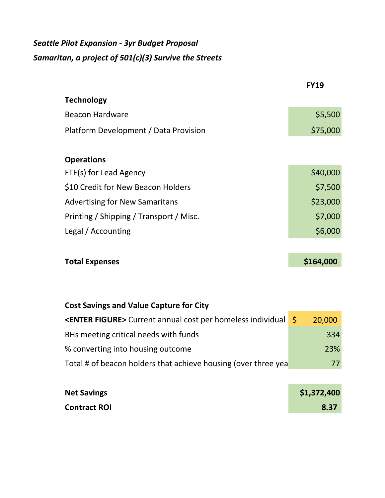# *Seattle Pilot Expansion - 3yr Budget Proposal Samaritan, a project of 501(c)(3) Survive the Streets*

|                                         | <b>FY19</b> |
|-----------------------------------------|-------------|
| <b>Technology</b>                       |             |
| <b>Beacon Hardware</b>                  | \$5,500     |
| Platform Development / Data Provision   | \$75,000    |
|                                         |             |
| <b>Operations</b>                       |             |
| FTE(s) for Lead Agency                  | \$40,000    |
| \$10 Credit for New Beacon Holders      | \$7,500     |
| <b>Advertising for New Samaritans</b>   | \$23,000    |
| Printing / Shipping / Transport / Misc. | \$7,000     |
| Legal / Accounting                      | \$6,000     |
|                                         |             |
| <b>Total Expenses</b>                   | \$164,000   |
|                                         |             |
|                                         |             |

| <b>Cost Savings and Value Capture for City</b>                                             |  |        |
|--------------------------------------------------------------------------------------------|--|--------|
| <b><enter figure=""></enter></b> Current annual cost per homeless individual $\frac{1}{5}$ |  | 20,000 |
| BHs meeting critical needs with funds                                                      |  | 334    |
| % converting into housing outcome                                                          |  | 23%    |
| Total # of beacon holders that achieve housing (over three yea                             |  | 77     |

| <b>Net Savings</b>  | \$1,372,400 |
|---------------------|-------------|
| <b>Contract ROI</b> | 8.37        |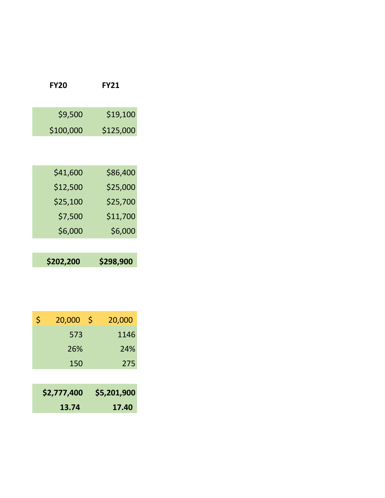| <b>FY20</b> | <b>FY21</b> |
|-------------|-------------|
| \$9,500     | \$19,100    |
| \$100,000   | \$125,000   |
| \$41,600    | \$86,400    |
| \$12,500    | \$25,000    |
| \$25,100    | \$25,700    |
| \$7,500     | \$11,700    |
| \$6,000     | \$6,000     |
| \$202,200   | \$298,900   |

| \$<br>20,000 | \$<br>20,000 |
|--------------|--------------|
| 573          | 1146         |
| 26%          | 24%          |
| 150          | 275          |
|              |              |
| \$2,777,400  | \$5,201,900  |
| 13.74        | 17.40        |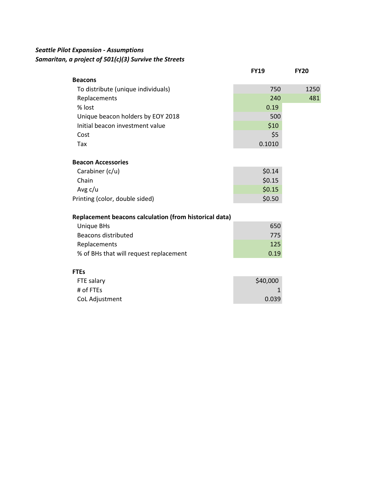## *Seattle Pilot Expansion - Assumptions Samaritan, a project of 501(c)(3) Survive the Streets*

|                                    | <b>FY19</b> | <b>FY20</b> |
|------------------------------------|-------------|-------------|
| <b>Beacons</b>                     |             |             |
| To distribute (unique individuals) | 750         | 1250        |
| Replacements                       | 240         | 481         |
| % lost                             | 0.19        |             |
| Unique beacon holders by EOY 2018  | 500         |             |
| Initial beacon investment value    | \$10        |             |
| Cost                               | \$5         |             |
| Tax                                | 0.1010      |             |

#### **Beacon Accessories**

| Carabiner (c/u)                | \$0.14 |
|--------------------------------|--------|
| Chain                          | \$0.15 |
| Avg c/u                        | \$0.15 |
| Printing (color, double sided) | \$0.50 |

### **Replacement beacons calculation (from historical data)**

| Unique BHs                             | 650  |
|----------------------------------------|------|
| Beacons distributed                    | 775  |
| Replacements                           | 125  |
| % of BHs that will request replacement | 0.19 |

#### **FTEs**

| FTE salary     | \$40,000 |
|----------------|----------|
| # of FTEs      |          |
| CoL Adjustment | 0.039    |